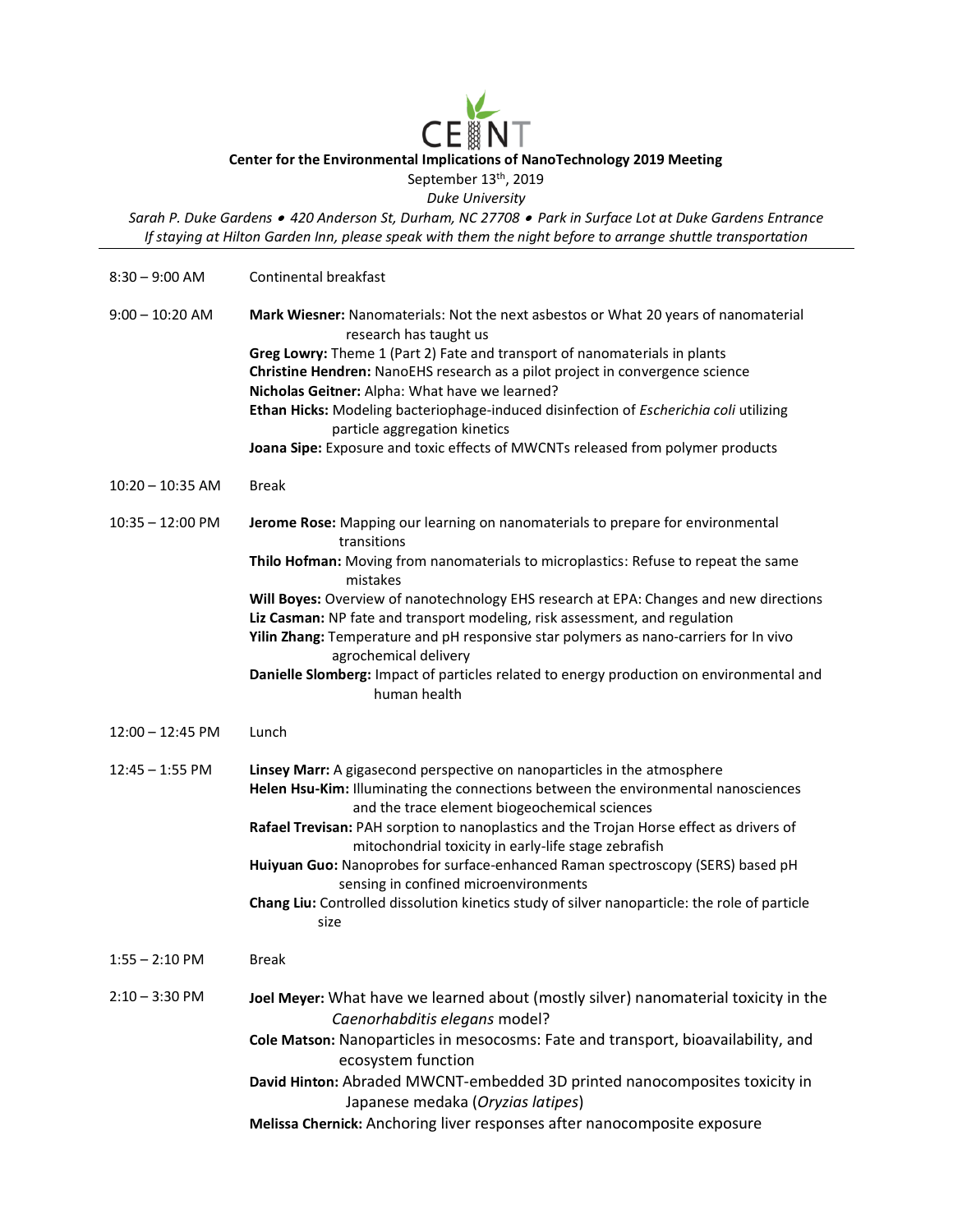## **CE Center for the Environmental Implications of NanoTechnology 2019 Meeting** September 13<sup>th</sup>, 2019

*Duke University*

*Sarah P. Duke Gardens* • *420 Anderson St, Durham, NC 27708* • *Park in Surface Lot at Duke Gardens Entrance If staying at Hilton Garden Inn, please speak with them the night before to arrange shuttle transportation*

| $8:30 - 9:00$ AM           | Continental breakfast                                                                                                                                                                                                                                                                                                                                                                                                                                                                                                                                                                                    |
|----------------------------|----------------------------------------------------------------------------------------------------------------------------------------------------------------------------------------------------------------------------------------------------------------------------------------------------------------------------------------------------------------------------------------------------------------------------------------------------------------------------------------------------------------------------------------------------------------------------------------------------------|
| $9:00 - 10:20$ AM          | Mark Wiesner: Nanomaterials: Not the next asbestos or What 20 years of nanomaterial<br>research has taught us<br>Greg Lowry: Theme 1 (Part 2) Fate and transport of nanomaterials in plants<br>Christine Hendren: NanoEHS research as a pilot project in convergence science<br>Nicholas Geitner: Alpha: What have we learned?<br>Ethan Hicks: Modeling bacteriophage-induced disinfection of Escherichia coli utilizing<br>particle aggregation kinetics                                                                                                                                                |
|                            | Joana Sipe: Exposure and toxic effects of MWCNTs released from polymer products                                                                                                                                                                                                                                                                                                                                                                                                                                                                                                                          |
| $10:20 - 10:35$ AM         | <b>Break</b>                                                                                                                                                                                                                                                                                                                                                                                                                                                                                                                                                                                             |
| $10:35 - 12:00 \text{ PM}$ | Jerome Rose: Mapping our learning on nanomaterials to prepare for environmental<br>transitions<br>Thilo Hofman: Moving from nanomaterials to microplastics: Refuse to repeat the same<br>mistakes<br>Will Boyes: Overview of nanotechnology EHS research at EPA: Changes and new directions<br>Liz Casman: NP fate and transport modeling, risk assessment, and regulation<br>Yilin Zhang: Temperature and pH responsive star polymers as nano-carriers for In vivo<br>agrochemical delivery<br>Danielle Slomberg: Impact of particles related to energy production on environmental and<br>human health |
| $12:00 - 12:45 \text{ PM}$ | Lunch                                                                                                                                                                                                                                                                                                                                                                                                                                                                                                                                                                                                    |
| $12:45 - 1:55$ PM          | Linsey Marr: A gigasecond perspective on nanoparticles in the atmosphere<br>Helen Hsu-Kim: Illuminating the connections between the environmental nanosciences<br>and the trace element biogeochemical sciences<br>Rafael Trevisan: PAH sorption to nanoplastics and the Trojan Horse effect as drivers of<br>mitochondrial toxicity in early-life stage zebrafish<br>Huiyuan Guo: Nanoprobes for surface-enhanced Raman spectroscopy (SERS) based pH<br>sensing in confined microenvironments<br>Chang Liu: Controlled dissolution kinetics study of silver nanoparticle: the role of particle<br>size  |
| $1:55 - 2:10$ PM           | Break                                                                                                                                                                                                                                                                                                                                                                                                                                                                                                                                                                                                    |
| $2:10 - 3:30$ PM           | Joel Meyer: What have we learned about (mostly silver) nanomaterial toxicity in the<br>Caenorhabditis elegans model?<br>Cole Matson: Nanoparticles in mesocosms: Fate and transport, bioavailability, and<br>ecosystem function<br>David Hinton: Abraded MWCNT-embedded 3D printed nanocomposites toxicity in<br>Japanese medaka (Oryzias latipes)                                                                                                                                                                                                                                                       |
|                            | Melissa Chernick: Anchoring liver responses after nanocomposite exposure                                                                                                                                                                                                                                                                                                                                                                                                                                                                                                                                 |